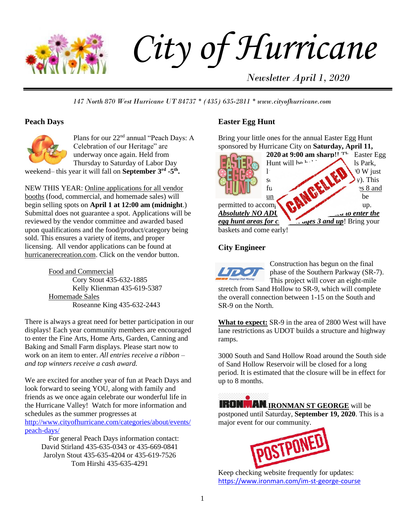

# *City of Hurricane*

*Newsletter April 1, 2020*

*147 North 870 West Hurricane UT 84737 \* (435) 635-2811 \* www.cityofhurricane.com*

# **Peach Days**



Plans for our 22nd annual "Peach Days: A Celebration of our Heritage" are underway once again. Held from Thursday to Saturday of Labor Day

weekend– this year it will fall on **September 3<sup>rd</sup> -5<sup>th</sup>**.

NEW THIS YEAR: Online applications for all vendor booths (food, commercial, and homemade sales) will begin selling spots on **April 1 at 12:00 am (midnight**.) Submittal does not guarantee a spot. Applications will be reviewed by the vendor committee and awarded based upon qualifications and the food/product/category being sold. This ensures a variety of items, and proper licensing. All vendor applications can be found at hurricanerecreation.com. Click on the vendor button.

> Food and Commercial Cory Stout 435-632-1885 Kelly Klienman 435-619-5387 Homemade Sales Roseanne King 435-632-2443

There is always a great need for better participation in our displays! Each year community members are encouraged to enter the Fine Arts, Home Arts, Garden, Canning and Baking and Small Farm displays. Please start now to work on an item to enter. *All entries receive a ribbon – and top winners receive a cash award.*

We are excited for another year of fun at Peach Days and look forward to seeing YOU, along with family and friends as we once again celebrate our wonderful life in the Hurricane Valley! Watch for more information and schedules as the summer progresses at [http://www.cityofhurricane.com/categories/about/events/](http://www.cityofhurricane.com/categories/about/events/peach-days/) [peach-days/](http://www.cityofhurricane.com/categories/about/events/peach-days/) 

For general Peach Days information contact: David Stirland 435-635-0343 or 435-669-0841 Jarolyn Stout 435-635-4204 or 435-619-7526 Tom Hirshi 435-635-4291

# **Easter Egg Hunt**

Bring your little ones for the annual Easter Egg Hunt sponsored by Hurricane City on **Saturday, April 11,** 



# **City Engineer**



Construction has begun on the final phase of the Southern Parkway (SR-7). This project will cover an eight-mile

stretch from Sand Hollow to SR-9, which will complete the overall connection between 1-15 on the South and SR-9 on the North.

**What to expect:** SR-9 in the area of 2800 West will have lane restrictions as UDOT builds a structure and highway ramps.

3000 South and Sand Hollow Road around the South side of Sand Hollow Reservoir will be closed for a long period. It is estimated that the closure will be in effect for up to 8 months.

**IRONMAN IRONMAN ST GEORGE** will be postponed until Saturday, **September 19, 2020**. This is a major event for our community.



Keep checking website frequently for updates: <https://www.ironman.com/im-st-george-course>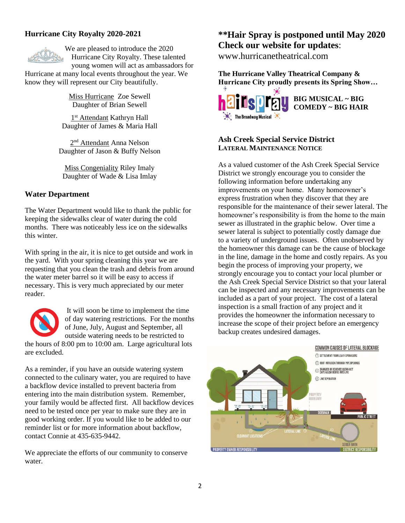# **Hurricane City Royalty 2020-2021**



We are pleased to introduce the 2020 Hurricane City Royalty. These talented young women will act as ambassadors for

Hurricane at many local events throughout the year. We know they will represent our City beautifully.

> Miss Hurricane Zoe Sewell Daughter of Brian Sewell

1<sup>st</sup> Attendant Kathryn Hall Daughter of James & Maria Hall

2<sup>nd</sup> Attendant Anna Nelson Daughter of Jason & Buffy Nelson

Miss Congeniality Riley Imaly Daughter of Wade & Lisa Imlay

# **Water Department**

The Water Department would like to thank the public for keeping the sidewalks clear of water during the cold months. There was noticeably less ice on the sidewalks this winter.

With spring in the air, it is nice to get outside and work in the yard. With your spring cleaning this year we are requesting that you clean the trash and debris from around the water meter barrel so it will be easy to access if necessary. This is very much appreciated by our meter reader.



It will soon be time to implement the time of day watering restrictions. For the months of June, July, August and September, all outside watering needs to be restricted to

the hours of 8:00 pm to 10:00 am. Large agricultural lots are excluded.

As a reminder, if you have an outside watering system connected to the culinary water, you are required to have a backflow device installed to prevent bacteria from entering into the main distribution system. Remember, your family would be affected first. All backflow devices need to be tested once per year to make sure they are in good working order. If you would like to be added to our reminder list or for more information about backflow, contact Connie at 435-635-9442.

We appreciate the efforts of our community to conserve water.

# **\*\*Hair Spray is postponed until May 2020 Check our website for updates**:

www.hurricanetheatrical.com

**The Hurricane Valley Theatrical Company & Hurricane City proudly presents its Spring Show…**



**BIG MUSICAL ~ BIG COMEDY ~ BIG HAIR**

#### **Ash Creek Special Service District LATERAL MAINTENANCE NOTICE**

As a valued customer of the Ash Creek Special Service District we strongly encourage you to consider the following information before undertaking any improvements on your home. Many homeowner's express frustration when they discover that they are responsible for the maintenance of their sewer lateral. The homeowner's responsibility is from the home to the main sewer as illustrated in the graphic below. Over time a sewer lateral is subject to potentially costly damage due to a variety of underground issues. Often unobserved by the homeowner this damage can be the cause of blockage in the line, damage in the home and costly repairs. As you begin the process of improving your property, we strongly encourage you to contact your local plumber or the Ash Creek Special Service District so that your lateral can be inspected and any necessary improvements can be included as a part of your project. The cost of a lateral inspection is a small fraction of any project and it provides the homeowner the information necessary to increase the scope of their project before an emergency backup creates undesired damages.

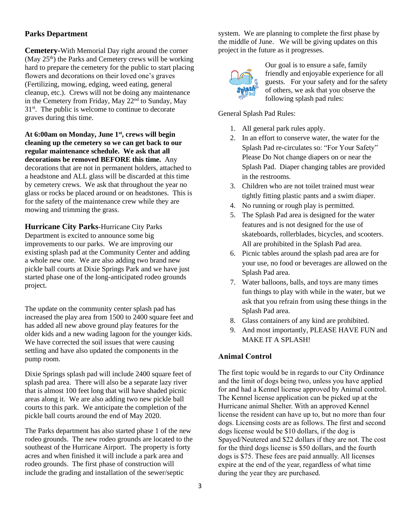# **Parks Department**

**Cemetery-**With Memorial Day right around the corner (May  $25<sup>th</sup>$ ) the Parks and Cemetery crews will be working hard to prepare the cemetery for the public to start placing flowers and decorations on their loved one's graves (Fertilizing, mowing, edging, weed eating, general cleanup, etc.). Crews will not be doing any maintenance in the Cemetery from Friday, May 22nd to Sunday, May 31st. The public is welcome to continue to decorate graves during this time.

**At 6:00am on Monday, June 1st, crews will begin cleaning up the cemetery so we can get back to our regular maintenance schedule. We ask that all decorations be removed BEFORE this time.** Any decorations that are not in permanent holders, attached to a headstone and ALL glass will be discarded at this time by cemetery crews. We ask that throughout the year no glass or rocks be placed around or on headstones. This is for the safety of the maintenance crew while they are mowing and trimming the grass.

**Hurricane City Parks**-Hurricane City Parks Department is excited to announce some big improvements to our parks. We are improving our existing splash pad at the Community Center and adding a whole new one. We are also adding two brand new pickle ball courts at Dixie Springs Park and we have just started phase one of the long-anticipated rodeo grounds project.

The update on the community center splash pad has increased the play area from 1500 to 2400 square feet and has added all new above ground play features for the older kids and a new wading lagoon for the younger kids. We have corrected the soil issues that were causing settling and have also updated the components in the pump room.

Dixie Springs splash pad will include 2400 square feet of splash pad area. There will also be a separate lazy river that is almost 100 feet long that will have shaded picnic areas along it. We are also adding two new pickle ball courts to this park. We anticipate the completion of the pickle ball courts around the end of May 2020.

The Parks department has also started phase 1 of the new rodeo grounds. The new rodeo grounds are located to the southeast of the Hurricane Airport. The property is forty acres and when finished it will include a park area and rodeo grounds. The first phase of construction will include the grading and installation of the sewer/septic

system. We are planning to complete the first phase by the middle of June. We will be giving updates on this project in the future as it progresses.



Our goal is to ensure a safe, family friendly and enjoyable experience for all guests. For your safety and for the safety of others, we ask that you observe the following splash pad rules:

General Splash Pad Rules:

- 1. All general park rules apply.
- 2. In an effort to conserve water, the water for the Splash Pad re-circulates so: "For Your Safety" Please Do Not change diapers on or near the Splash Pad. Diaper changing tables are provided in the restrooms.
- 3. Children who are not toilet trained must wear tightly fitting plastic pants and a swim diaper.
- 4. No running or rough play is permitted.
- 5. The Splash Pad area is designed for the water features and is not designed for the use of skateboards, rollerblades, bicycles, and scooters. All are prohibited in the Splash Pad area.
- 6. Picnic tables around the splash pad area are for your use, no food or beverages are allowed on the Splash Pad area.
- 7. Water balloons, balls, and toys are many times fun things to play with while in the water, but we ask that you refrain from using these things in the Splash Pad area.
- 8. Glass containers of any kind are prohibited.
- 9. And most importantly, PLEASE HAVE FUN and MAKE IT A SPLASH!

# **Animal Control**

The first topic would be in regards to our City Ordinance and the limit of dogs being two, unless you have applied for and had a Kennel license approved by Animal control. The Kennel license application can be picked up at the Hurricane animal Shelter. With an approved Kennel license the resident can have up to, but no more than four dogs. Licensing costs are as follows. The first and second dogs license would be \$10 dollars, if the dog is Spayed/Neutered and \$22 dollars if they are not. The cost for the third dogs license is \$50 dollars, and the fourth dogs is \$75. These fees are paid annually. All licenses expire at the end of the year, regardless of what time during the year they are purchased.